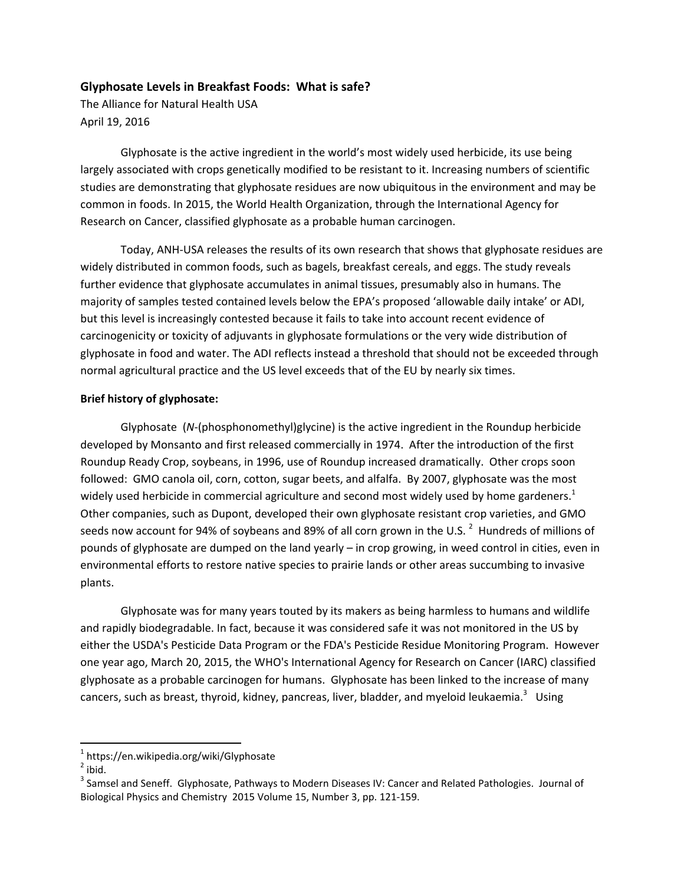# **Glyphosate Levels in Breakfast Foods: What is safe?**

The Alliance for Natural Health USA April 19, 2016

Glyphosate is the active ingredient in the world's most widely used herbicide, its use being largely associated with crops genetically modified to be resistant to it. Increasing numbers of scientific studies are demonstrating that glyphosate residues are now ubiquitous in the environment and may be common in foods. In 2015, the World Health Organization, through the International Agency for Research on Cancer, classified glyphosate as a probable human carcinogen.

Today, ANH-USA releases the results of its own research that shows that glyphosate residues are widely distributed in common foods, such as bagels, breakfast cereals, and eggs. The study reveals further evidence that glyphosate accumulates in animal tissues, presumably also in humans. The majority of samples tested contained levels below the EPA's proposed 'allowable daily intake' or ADI, but this level is increasingly contested because it fails to take into account recent evidence of carcinogenicity or toxicity of adjuvants in glyphosate formulations or the very wide distribution of glyphosate in food and water. The ADI reflects instead a threshold that should not be exceeded through normal agricultural practice and the US level exceeds that of the EU by nearly six times.

#### **Brief history of glyphosate:**

Glyphosate (*N*-(phosphonomethyl)glycine) is the active ingredient in the Roundup herbicide developed by Monsanto and first released commercially in 1974. After the introduction of the first Roundup Ready Crop, soybeans, in 1996, use of Roundup increased dramatically. Other crops soon followed: GMO canola oil, corn, cotton, sugar beets, and alfalfa. By 2007, glyphosate was the most widely used herbicide in commercial agriculture and second most widely used by home gardeners.<sup>1</sup> Other companies, such as Dupont, developed their own glyphosate resistant crop varieties, and GMO seeds now account for 94% of soybeans and 89% of all corn grown in the U.S.  $^2$  Hundreds of millions of pounds of glyphosate are dumped on the land yearly – in crop growing, in weed control in cities, even in environmental efforts to restore native species to prairie lands or other areas succumbing to invasive plants.

Glyphosate was for many years touted by its makers as being harmless to humans and wildlife and rapidly biodegradable. In fact, because it was considered safe it was not monitored in the US by either the USDA's Pesticide Data Program or the FDA's Pesticide Residue Monitoring Program. However one year ago, March 20, 2015, the WHO's International Agency for Research on Cancer (IARC) classified glyphosate as a probable carcinogen for humans. Glyphosate has been linked to the increase of many cancers, such as breast, thyroid, kidney, pancreas, liver, bladder, and myeloid leukaemia.<sup>3</sup> Using

<sup>&</sup>lt;sup>1</sup> https://en.wikipedia.org/wiki/Glyphosate

 $2$  ibid.

 $3$  Samsel and Seneff. Glyphosate, Pathways to Modern Diseases IV: Cancer and Related Pathologies. Journal of Biological Physics and Chemistry 2015 Volume 15, Number 3, pp. 121-159.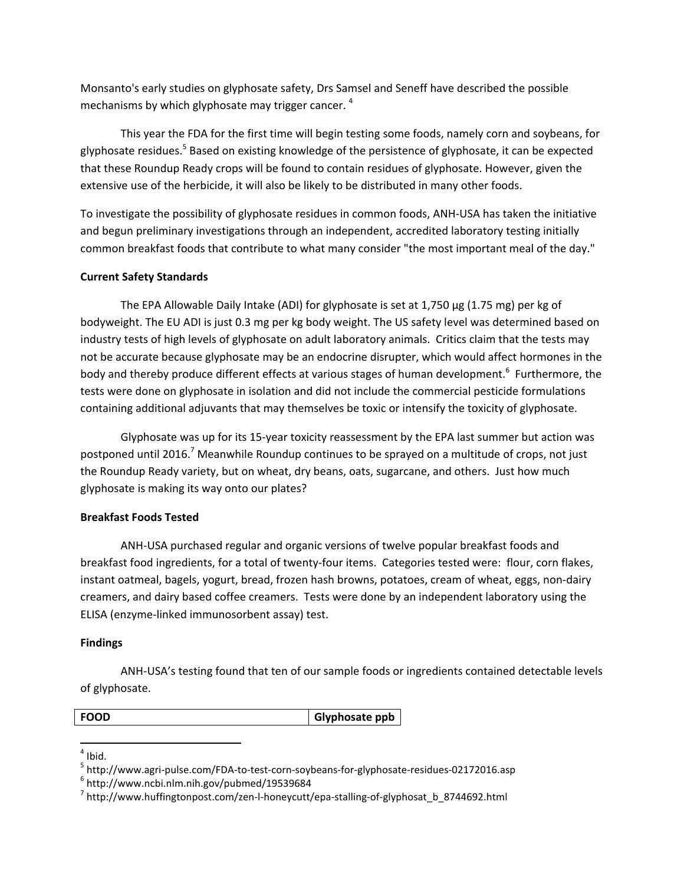Monsanto's early studies on glyphosate safety, Drs Samsel and Seneff have described the possible mechanisms by which glyphosate may trigger cancer.  $4$ 

This year the FDA for the first time will begin testing some foods, namely corn and soybeans, for glyphosate residues.<sup>5</sup> Based on existing knowledge of the persistence of glyphosate, it can be expected that these Roundup Ready crops will be found to contain residues of glyphosate. However, given the extensive use of the herbicide, it will also be likely to be distributed in many other foods.

To investigate the possibility of glyphosate residues in common foods, ANH-USA has taken the initiative and begun preliminary investigations through an independent, accredited laboratory testing initially common breakfast foods that contribute to what many consider "the most important meal of the day."

## **Current Safety Standards**

The EPA Allowable Daily Intake (ADI) for glyphosate is set at  $1,750 \,\mu g$  (1.75 mg) per kg of bodyweight. The EU ADI is just 0.3 mg per kg body weight. The US safety level was determined based on industry tests of high levels of glyphosate on adult laboratory animals. Critics claim that the tests may not be accurate because glyphosate may be an endocrine disrupter, which would affect hormones in the body and thereby produce different effects at various stages of human development.<sup>6</sup> Furthermore, the tests were done on glyphosate in isolation and did not include the commercial pesticide formulations containing additional adjuvants that may themselves be toxic or intensify the toxicity of glyphosate.

Glyphosate was up for its 15-year toxicity reassessment by the EPA last summer but action was postponed until 2016.<sup>7</sup> Meanwhile Roundup continues to be sprayed on a multitude of crops, not just the Roundup Ready variety, but on wheat, dry beans, oats, sugarcane, and others. Just how much glyphosate is making its way onto our plates?

## **Breakfast Foods Tested**

ANH-USA purchased regular and organic versions of twelve popular breakfast foods and breakfast food ingredients, for a total of twenty-four items. Categories tested were: flour, corn flakes, instant oatmeal, bagels, yogurt, bread, frozen hash browns, potatoes, cream of wheat, eggs, non-dairy creamers, and dairy based coffee creamers. Tests were done by an independent laboratory using the ELISA (enzyme-linked immunosorbent assay) test.

## **Findings**

ANH-USA's testing found that ten of our sample foods or ingredients contained detectable levels of glyphosate.

**FOOD Glyphosate ppb** 

\$\$\$\$\$\$\$\$\$\$\$\$\$\$\$\$\$\$\$\$\$\$\$\$\$\$\$\$\$\$\$\$\$\$\$\$\$\$\$\$\$\$\$\$\$\$\$\$\$\$\$\$\$\$\$\$\$\$\$

 $<sup>4</sup>$  Ibid.</sup>

 $5$  http://www.agri-pulse.com/FDA-to-test-corn-soybeans-for-glyphosate-residues-02172016.asp 6 http://www.ncbi.nlm.nih.gov/pubmed/19539684

 $^7$  http://www.huffingtonpost.com/zen-I-honeycutt/epa-stalling-of-glyphosat\_b\_8744692.html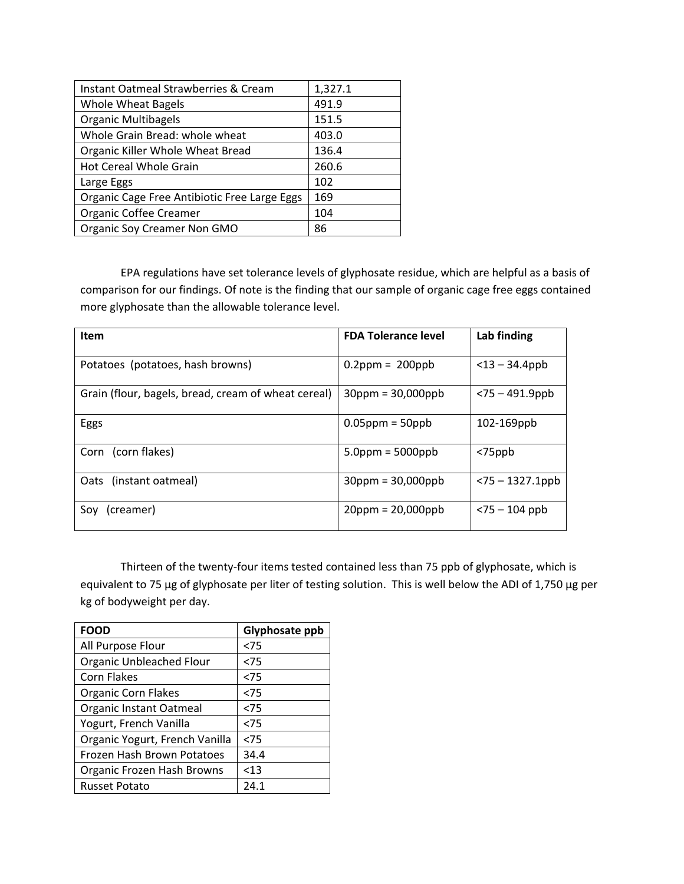| Instant Oatmeal Strawberries & Cream         | 1,327.1 |
|----------------------------------------------|---------|
| <b>Whole Wheat Bagels</b>                    | 491.9   |
| <b>Organic Multibagels</b>                   | 151.5   |
| Whole Grain Bread: whole wheat               | 403.0   |
| Organic Killer Whole Wheat Bread             | 136.4   |
| <b>Hot Cereal Whole Grain</b>                | 260.6   |
| Large Eggs                                   | 102     |
| Organic Cage Free Antibiotic Free Large Eggs | 169     |
| <b>Organic Coffee Creamer</b>                | 104     |
| Organic Soy Creamer Non GMO                  | 86      |

EPA regulations have set tolerance levels of glyphosate residue, which are helpful as a basis of comparison for our findings. Of note is the finding that our sample of organic cage free eggs contained more glyphosate than the allowable tolerance level.

| <b>Item</b>                                         | <b>FDA Tolerance level</b> | Lab finding        |
|-----------------------------------------------------|----------------------------|--------------------|
| Potatoes (potatoes, hash browns)                    | $0.2$ ppm = 200ppb         | $<$ 13 – 34.4ppb   |
| Grain (flour, bagels, bread, cream of wheat cereal) | $30$ ppm = $30,000$ ppb    | $<$ 75 – 491.9ppb  |
| Eggs                                                | $0.05$ ppm = 50ppb         | 102-169ppb         |
| Corn (corn flakes)                                  | $5.0$ ppm = 5000ppb        | $75ppb$            |
| Oats (instant oatmeal)                              | $30$ ppm = $30,000$ ppb    | $<$ 75 – 1327.1ppb |
| Soy (creamer)                                       | $20$ ppm = $20,000$ ppb    | $<$ 75 – 104 ppb   |

Thirteen of the twenty-four items tested contained less than 75 ppb of glyphosate, which is equivalent to 75 µg of glyphosate per liter of testing solution. This is well below the ADI of 1,750 µg per kg of bodyweight per day.

| <b>FOOD</b>                     | Glyphosate ppb |
|---------------------------------|----------------|
| All Purpose Flour               | < 75           |
| <b>Organic Unbleached Flour</b> | < 75           |
| <b>Corn Flakes</b>              | < 75           |
| <b>Organic Corn Flakes</b>      | < 75           |
| Organic Instant Oatmeal         | < 75           |
| Yogurt, French Vanilla          | < 75           |
| Organic Yogurt, French Vanilla  | < 75           |
| Frozen Hash Brown Potatoes      | 34.4           |
| Organic Frozen Hash Browns      | < 13           |
| <b>Russet Potato</b>            | 24.1           |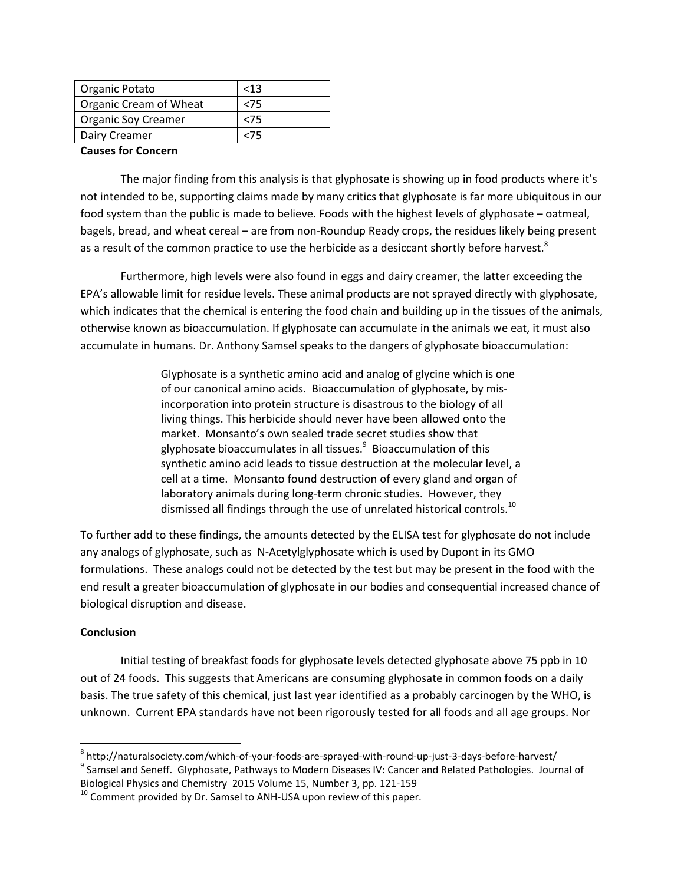| Organic Potato             | < 13   |
|----------------------------|--------|
| Organic Cream of Wheat     | <75    |
| <b>Organic Soy Creamer</b> | <75    |
| Dairy Creamer              | $<$ 75 |
|                            |        |

#### **Causes for Concern**

The major finding from this analysis is that glyphosate is showing up in food products where it's not intended to be, supporting claims made by many critics that glyphosate is far more ubiquitous in our food system than the public is made to believe. Foods with the highest levels of glyphosate – oatmeal, bagels, bread, and wheat cereal – are from non-Roundup Ready crops, the residues likely being present as a result of the common practice to use the herbicide as a desiccant shortly before harvest.<sup>8</sup>

Furthermore, high levels were also found in eggs and dairy creamer, the latter exceeding the EPA's allowable limit for residue levels. These animal products are not sprayed directly with glyphosate, which indicates that the chemical is entering the food chain and building up in the tissues of the animals, otherwise known as bioaccumulation. If glyphosate can accumulate in the animals we eat, it must also accumulate in humans. Dr. Anthony Samsel speaks to the dangers of glyphosate bioaccumulation:

> Glyphosate is a synthetic amino acid and analog of glycine which is one of our canonical amino acids. Bioaccumulation of glyphosate, by misincorporation into protein structure is disastrous to the biology of all living things. This herbicide should never have been allowed onto the market. Monsanto's own sealed trade secret studies show that glyphosate bioaccumulates in all tissues. $9$  Bioaccumulation of this synthetic amino acid leads to tissue destruction at the molecular level, a cell at a time. Monsanto found destruction of every gland and organ of laboratory animals during long-term chronic studies. However, they dismissed all findings through the use of unrelated historical controls.<sup>10</sup>

To further add to these findings, the amounts detected by the ELISA test for glyphosate do not include any analogs of glyphosate, such as N-Acetylglyphosate which is used by Dupont in its GMO formulations. These analogs could not be detected by the test but may be present in the food with the end result a greater bioaccumulation of glyphosate in our bodies and consequential increased chance of biological disruption and disease.

## $Conclusion$

Initial testing of breakfast foods for glyphosate levels detected glyphosate above 75 ppb in 10 out of 24 foods. This suggests that Americans are consuming glyphosate in common foods on a daily basis. The true safety of this chemical, just last year identified as a probably carcinogen by the WHO, is unknown. Current EPA standards have not been rigorously tested for all foods and all age groups. Nor

Biological Physics and Chemistry 2015 Volume 15, Number 3, pp. 121-159

<sup>\$\$\$\$\$\$\$\$\$\$\$\$\$\$\$\$\$\$\$\$\$\$\$\$\$\$\$\$\$\$\$\$\$\$\$\$\$\$\$\$\$\$\$\$\$\$\$\$\$\$\$\$\$\$\$\$\$\$\$</sup>  $8$  http://naturalsociety.com/which-of-your-foods-are-sprayed-with-round-up-just-3-days-before-harvest/ <sup>9</sup> Samsel and Seneff. Glyphosate, Pathways to Modern Diseases IV: Cancer and Related Pathologies. Journal of

 $10$  Comment provided by Dr. Samsel to ANH-USA upon review of this paper.